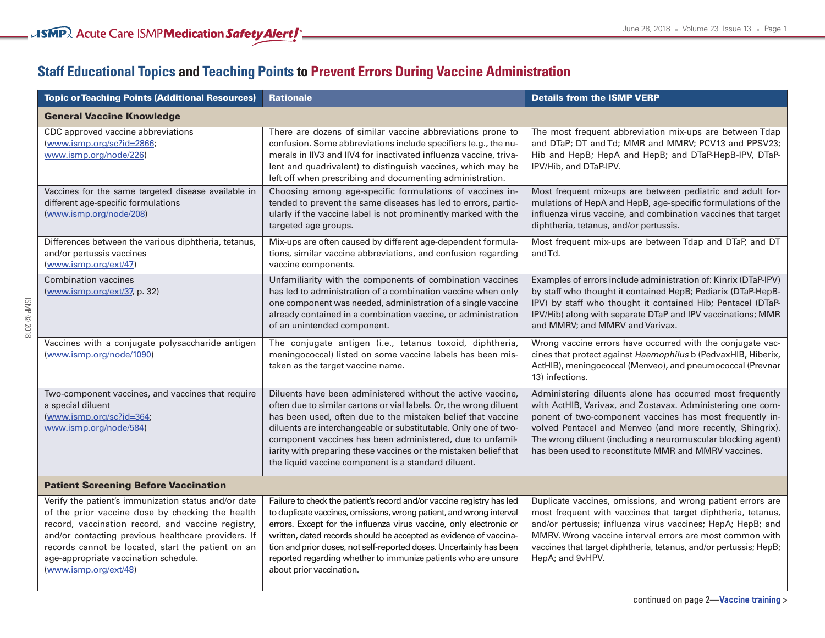## **Staff Educational Topics and Teaching Points to Prevent Errors During Vaccine Administration**

| <b>Topic or Teaching Points (Additional Resources)</b>                                                                                                                                                                                                                                                                                       | <b>Rationale</b>                                                                                                                                                                                                                                                                                                                                                                                                                                             | <b>Details from the ISMP VERP</b>                                                                                                                                                                                                                                                                                                                                        |  |  |
|----------------------------------------------------------------------------------------------------------------------------------------------------------------------------------------------------------------------------------------------------------------------------------------------------------------------------------------------|--------------------------------------------------------------------------------------------------------------------------------------------------------------------------------------------------------------------------------------------------------------------------------------------------------------------------------------------------------------------------------------------------------------------------------------------------------------|--------------------------------------------------------------------------------------------------------------------------------------------------------------------------------------------------------------------------------------------------------------------------------------------------------------------------------------------------------------------------|--|--|
| <b>General Vaccine Knowledge</b>                                                                                                                                                                                                                                                                                                             |                                                                                                                                                                                                                                                                                                                                                                                                                                                              |                                                                                                                                                                                                                                                                                                                                                                          |  |  |
| CDC approved vaccine abbreviations<br>(www.ismp.org/sc?id=2866;<br>www.ismp.org/node/226)                                                                                                                                                                                                                                                    | There are dozens of similar vaccine abbreviations prone to<br>confusion. Some abbreviations include specifiers (e.g., the nu-<br>merals in IIV3 and IIV4 for inactivated influenza vaccine, triva-<br>lent and quadrivalent) to distinguish vaccines, which may be<br>left off when prescribing and documenting administration.                                                                                                                              | The most frequent abbreviation mix-ups are between Tdap<br>and DTaP; DT and Td; MMR and MMRV; PCV13 and PPSV23;<br>Hib and HepB; HepA and HepB; and DTaP-HepB-IPV, DTaP-<br>IPV/Hib, and DTaP-IPV.                                                                                                                                                                       |  |  |
| Vaccines for the same targeted disease available in<br>different age-specific formulations<br>(www.ismp.org/node/208)                                                                                                                                                                                                                        | Choosing among age-specific formulations of vaccines in-<br>tended to prevent the same diseases has led to errors, partic-<br>ularly if the vaccine label is not prominently marked with the<br>targeted age groups.                                                                                                                                                                                                                                         | Most frequent mix-ups are between pediatric and adult for-<br>mulations of HepA and HepB, age-specific formulations of the<br>influenza virus vaccine, and combination vaccines that target<br>diphtheria, tetanus, and/or pertussis.                                                                                                                                    |  |  |
| Differences between the various diphtheria, tetanus,<br>and/or pertussis vaccines<br>(www.ismp.org/ext/47)                                                                                                                                                                                                                                   | Mix-ups are often caused by different age-dependent formula-<br>tions, similar vaccine abbreviations, and confusion regarding<br>vaccine components.                                                                                                                                                                                                                                                                                                         | Most frequent mix-ups are between Tdap and DTaP, and DT<br>and Td.                                                                                                                                                                                                                                                                                                       |  |  |
| Combination vaccines<br>(www.ismp.org/ext/37, p. 32)                                                                                                                                                                                                                                                                                         | Unfamiliarity with the components of combination vaccines<br>has led to administration of a combination vaccine when only<br>one component was needed, administration of a single vaccine<br>already contained in a combination vaccine, or administration<br>of an unintended component.                                                                                                                                                                    | Examples of errors include administration of: Kinrix (DTaP-IPV)<br>by staff who thought it contained HepB; Pediarix (DTaP-HepB-<br>IPV) by staff who thought it contained Hib; Pentacel (DTaP-<br>IPV/Hib) along with separate DTaP and IPV vaccinations; MMR<br>and MMRV; and MMRV and Varivax.                                                                         |  |  |
| Vaccines with a conjugate polysaccharide antigen<br>(www.ismp.org/node/1090)                                                                                                                                                                                                                                                                 | The conjugate antigen (i.e., tetanus toxoid, diphtheria,<br>meningococcal) listed on some vaccine labels has been mis-<br>taken as the target vaccine name.                                                                                                                                                                                                                                                                                                  | Wrong vaccine errors have occurred with the conjugate vac-<br>cines that protect against Haemophilus b (PedvaxHIB, Hiberix,<br>ActHIB), meningococcal (Menveo), and pneumococcal (Prevnar<br>13) infections.                                                                                                                                                             |  |  |
| Two-component vaccines, and vaccines that require<br>a special diluent<br>(www.ismp.org/sc?id=364;<br>www.ismp.org/node/584)                                                                                                                                                                                                                 | Diluents have been administered without the active vaccine,<br>often due to similar cartons or vial labels. Or, the wrong diluent<br>has been used, often due to the mistaken belief that vaccine<br>diluents are interchangeable or substitutable. Only one of two-<br>component vaccines has been administered, due to unfamil-<br>iarity with preparing these vaccines or the mistaken belief that<br>the liquid vaccine component is a standard diluent. | Administering diluents alone has occurred most frequently<br>with ActHIB, Varivax, and Zostavax. Administering one com-<br>ponent of two-component vaccines has most frequently in-<br>volved Pentacel and Menveo (and more recently, Shingrix).<br>The wrong diluent (including a neuromuscular blocking agent)<br>has been used to reconstitute MMR and MMRV vaccines. |  |  |
| <b>Patient Screening Before Vaccination</b>                                                                                                                                                                                                                                                                                                  |                                                                                                                                                                                                                                                                                                                                                                                                                                                              |                                                                                                                                                                                                                                                                                                                                                                          |  |  |
| Verify the patient's immunization status and/or date<br>of the prior vaccine dose by checking the health<br>record, vaccination record, and vaccine registry,<br>and/or contacting previous healthcare providers. If<br>records cannot be located, start the patient on an<br>age-appropriate vaccination schedule.<br>(www.ismp.org/ext/48) | Failure to check the patient's record and/or vaccine registry has led<br>to duplicate vaccines, omissions, wrong patient, and wrong interval<br>errors. Except for the influenza virus vaccine, only electronic or<br>written, dated records should be accepted as evidence of vaccina-<br>tion and prior doses, not self-reported doses. Uncertainty has been<br>reported regarding whether to immunize patients who are unsure<br>about prior vaccination. | Duplicate vaccines, omissions, and wrong patient errors are<br>most frequent with vaccines that target diphtheria, tetanus,<br>and/or pertussis; influenza virus vaccines; HepA; HepB; and<br>MMRV. Wrong vaccine interval errors are most common with<br>vaccines that target diphtheria, tetanus, and/or pertussis; HepB;<br>HepA; and 9vHPV.                          |  |  |

<u> 1980 - Johann Barn, amerikan bestemannten (</u>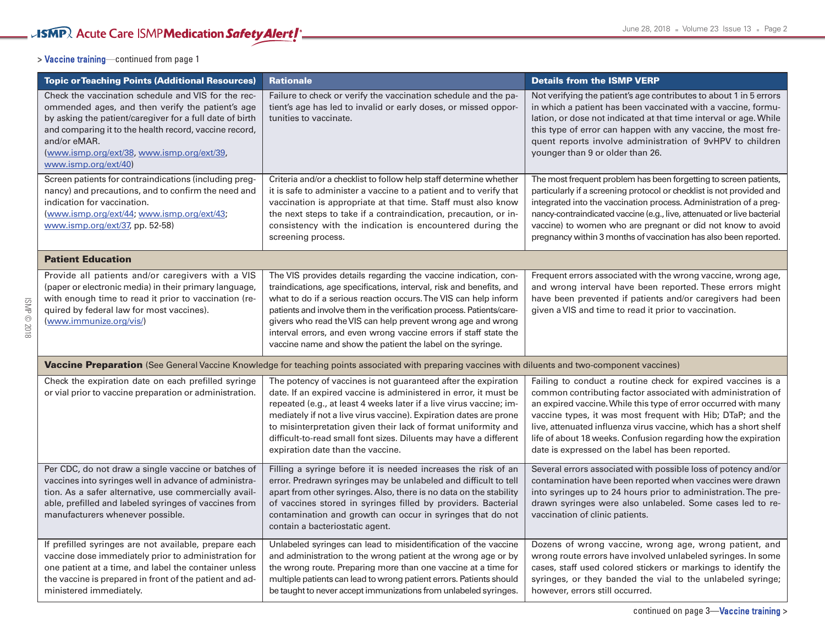## **>** Vaccine training—continued from page 1

ISMP © 2018

| <b>Topic or Teaching Points (Additional Resources)</b>                                                                                                                                                                                                                                                              | <b>Rationale</b>                                                                                                                                                                                                                                                                                                                                                                                                                                                                         | <b>Details from the ISMP VERP</b>                                                                                                                                                                                                                                                                                                                                                                                                                          |  |  |
|---------------------------------------------------------------------------------------------------------------------------------------------------------------------------------------------------------------------------------------------------------------------------------------------------------------------|------------------------------------------------------------------------------------------------------------------------------------------------------------------------------------------------------------------------------------------------------------------------------------------------------------------------------------------------------------------------------------------------------------------------------------------------------------------------------------------|------------------------------------------------------------------------------------------------------------------------------------------------------------------------------------------------------------------------------------------------------------------------------------------------------------------------------------------------------------------------------------------------------------------------------------------------------------|--|--|
| Check the vaccination schedule and VIS for the rec-<br>ommended ages, and then verify the patient's age<br>by asking the patient/caregiver for a full date of birth<br>and comparing it to the health record, vaccine record,<br>and/or eMAR.<br>(www.ismp.org/ext/38, www.ismp.org/ext/39,<br>www.ismp.org/ext/40) | Failure to check or verify the vaccination schedule and the pa-<br>tient's age has led to invalid or early doses, or missed oppor-<br>tunities to vaccinate.                                                                                                                                                                                                                                                                                                                             | Not verifying the patient's age contributes to about 1 in 5 errors<br>in which a patient has been vaccinated with a vaccine, formu-<br>lation, or dose not indicated at that time interval or age. While<br>this type of error can happen with any vaccine, the most fre-<br>quent reports involve administration of 9vHPV to children<br>younger than 9 or older than 26.                                                                                 |  |  |
| Screen patients for contraindications (including preg-<br>nancy) and precautions, and to confirm the need and<br>indication for vaccination.<br>(www.ismp.org/ext/44; www.ismp.org/ext/43;<br>www.ismp.org/ext/37, pp. 52-58)                                                                                       | Criteria and/or a checklist to follow help staff determine whether<br>it is safe to administer a vaccine to a patient and to verify that<br>vaccination is appropriate at that time. Staff must also know<br>the next steps to take if a contraindication, precaution, or in-<br>consistency with the indication is encountered during the<br>screening process.                                                                                                                         | The most frequent problem has been forgetting to screen patients,<br>particularly if a screening protocol or checklist is not provided and<br>integrated into the vaccination process. Administration of a preg-<br>nancy-contraindicated vaccine (e.g., live, attenuated or live bacterial<br>vaccine) to women who are pregnant or did not know to avoid<br>pregnancy within 3 months of vaccination has also been reported.                             |  |  |
| <b>Patient Education</b>                                                                                                                                                                                                                                                                                            |                                                                                                                                                                                                                                                                                                                                                                                                                                                                                          |                                                                                                                                                                                                                                                                                                                                                                                                                                                            |  |  |
| Provide all patients and/or caregivers with a VIS<br>(paper or electronic media) in their primary language,<br>with enough time to read it prior to vaccination (re-<br>quired by federal law for most vaccines).<br>(www.immunize.org/vis/)                                                                        | The VIS provides details regarding the vaccine indication, con-<br>traindications, age specifications, interval, risk and benefits, and<br>what to do if a serious reaction occurs. The VIS can help inform<br>patients and involve them in the verification process. Patients/care-<br>givers who read the VIS can help prevent wrong age and wrong<br>interval errors, and even wrong vaccine errors if staff state the<br>vaccine name and show the patient the label on the syringe. | Frequent errors associated with the wrong vaccine, wrong age,<br>and wrong interval have been reported. These errors might<br>have been prevented if patients and/or caregivers had been<br>given a VIS and time to read it prior to vaccination.                                                                                                                                                                                                          |  |  |
| <b>Vaccine Preparation</b> (See General Vaccine Knowledge for teaching points associated with preparing vaccines with diluents and two-component vaccines)                                                                                                                                                          |                                                                                                                                                                                                                                                                                                                                                                                                                                                                                          |                                                                                                                                                                                                                                                                                                                                                                                                                                                            |  |  |
| Check the expiration date on each prefilled syringe<br>or vial prior to vaccine preparation or administration.                                                                                                                                                                                                      | The potency of vaccines is not guaranteed after the expiration<br>date. If an expired vaccine is administered in error, it must be<br>repeated (e.g., at least 4 weeks later if a live virus vaccine; im-<br>mediately if not a live virus vaccine). Expiration dates are prone<br>to misinterpretation given their lack of format uniformity and<br>difficult-to-read small font sizes. Diluents may have a different<br>expiration date than the vaccine.                              | Failing to conduct a routine check for expired vaccines is a<br>common contributing factor associated with administration of<br>an expired vaccine. While this type of error occurred with many<br>vaccine types, it was most frequent with Hib; DTaP; and the<br>live, attenuated influenza virus vaccine, which has a short shelf<br>life of about 18 weeks. Confusion regarding how the expiration<br>date is expressed on the label has been reported. |  |  |
| Per CDC, do not draw a single vaccine or batches of<br>vaccines into syringes well in advance of administra-<br>tion. As a safer alternative, use commercially avail-<br>able, prefilled and labeled syringes of vaccines from<br>manufacturers whenever possible.                                                  | Filling a syringe before it is needed increases the risk of an<br>error. Predrawn syringes may be unlabeled and difficult to tell<br>apart from other syringes. Also, there is no data on the stability<br>of vaccines stored in syringes filled by providers. Bacterial<br>contamination and growth can occur in syringes that do not<br>contain a bacteriostatic agent.                                                                                                                | Several errors associated with possible loss of potency and/or<br>contamination have been reported when vaccines were drawn<br>into syringes up to 24 hours prior to administration. The pre-<br>drawn syringes were also unlabeled. Some cases led to re-<br>vaccination of clinic patients.                                                                                                                                                              |  |  |
| If prefilled syringes are not available, prepare each<br>vaccine dose immediately prior to administration for<br>one patient at a time, and label the container unless<br>the vaccine is prepared in front of the patient and ad-<br>ministered immediately.                                                        | Unlabeled syringes can lead to misidentification of the vaccine<br>and administration to the wrong patient at the wrong age or by<br>the wrong route. Preparing more than one vaccine at a time for<br>multiple patients can lead to wrong patient errors. Patients should<br>be taught to never accept immunizations from unlabeled syringes.                                                                                                                                           | Dozens of wrong vaccine, wrong age, wrong patient, and<br>wrong route errors have involved unlabeled syringes. In some<br>cases, staff used colored stickers or markings to identify the<br>syringes, or they banded the vial to the unlabeled syringe;<br>however, errors still occurred.                                                                                                                                                                 |  |  |